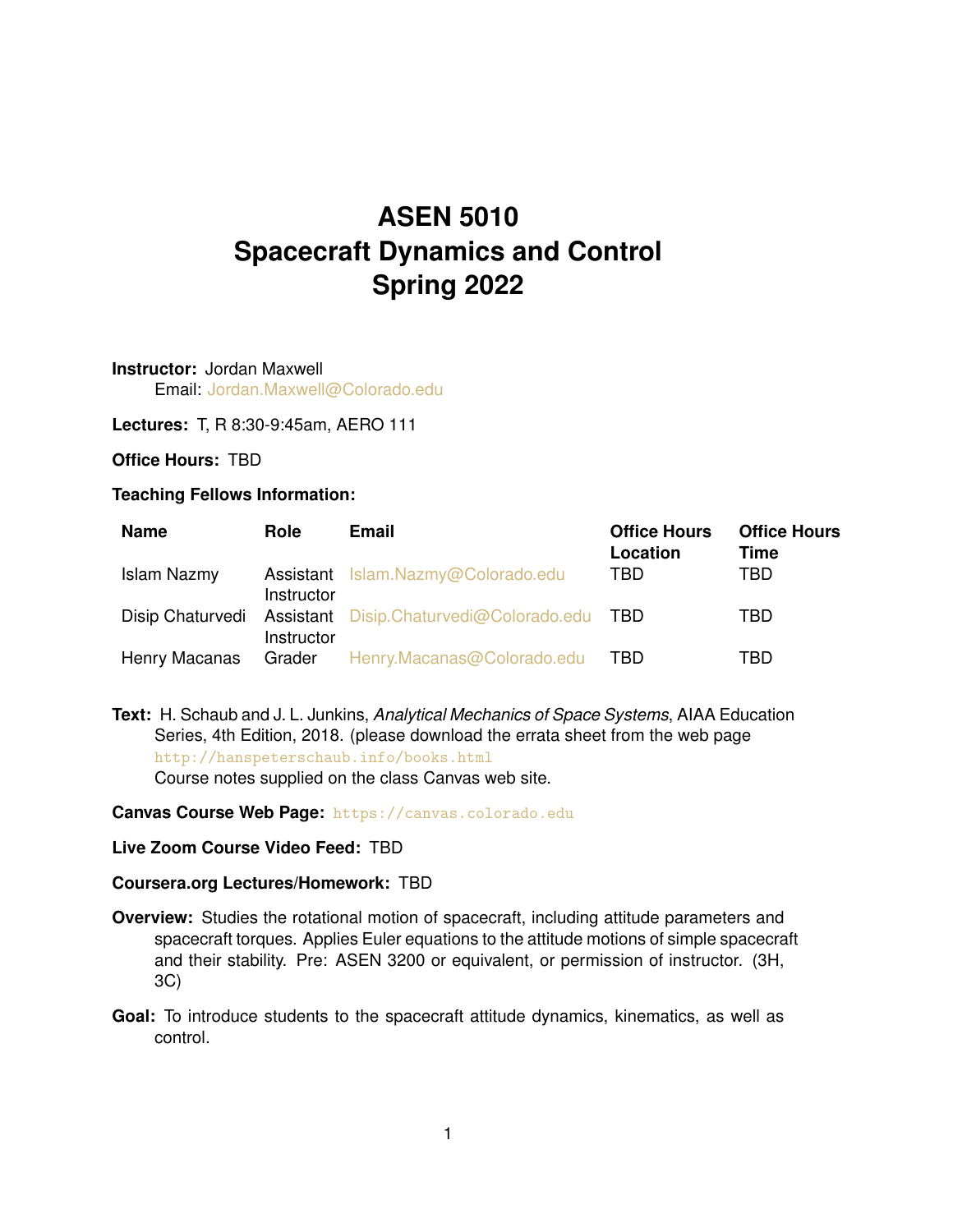# **ASEN 5010 Spacecraft Dynamics and Control Spring 2022**

**Instructor:** Jordan Maxwell Email: [Jordan.Maxwell@Colorado.edu](mailto:Jordan.Maxwell@Colorado.edu)

**Lectures:** T, R 8:30-9:45am, AERO 111

### **Office Hours:** TBD

#### **Teaching Fellows Information:**

| <b>Name</b>   | <b>Role</b> | <b>Email</b>                                                 | <b>Office Hours</b><br>Location | <b>Office Hours</b><br>Time |
|---------------|-------------|--------------------------------------------------------------|---------------------------------|-----------------------------|
| Islam Nazmy   | Instructor  | Assistant Islam.Nazmy@Colorado.edu                           | TBD.                            | TBD                         |
|               | Instructor  | Disip Chaturvedi Assistant Disip.Chaturvedi@Colorado.edu TBD |                                 | TBD                         |
| Henry Macanas |             | Grader Henry.Macanas@Colorado.edu                            | TBD.                            | TBD                         |

**Text:** H. Schaub and J. L. Junkins, *Analytical Mechanics of Space Systems*, AIAA Education Series, 4th Edition, 2018. (please download the errata sheet from the web page <http://hanspeterschaub.info/books.html> Course notes supplied on the class Canvas web site.

#### **Canvas Course Web Page:** <https://canvas.colorado.edu>

#### **Live Zoom Course Video Feed:** TBD

#### **Coursera.org Lectures/Homework:** TBD

- **Overview:** Studies the rotational motion of spacecraft, including attitude parameters and spacecraft torques. Applies Euler equations to the attitude motions of simple spacecraft and their stability. Pre: ASEN 3200 or equivalent, or permission of instructor. (3H, 3C)
- **Goal:** To introduce students to the spacecraft attitude dynamics, kinematics, as well as control.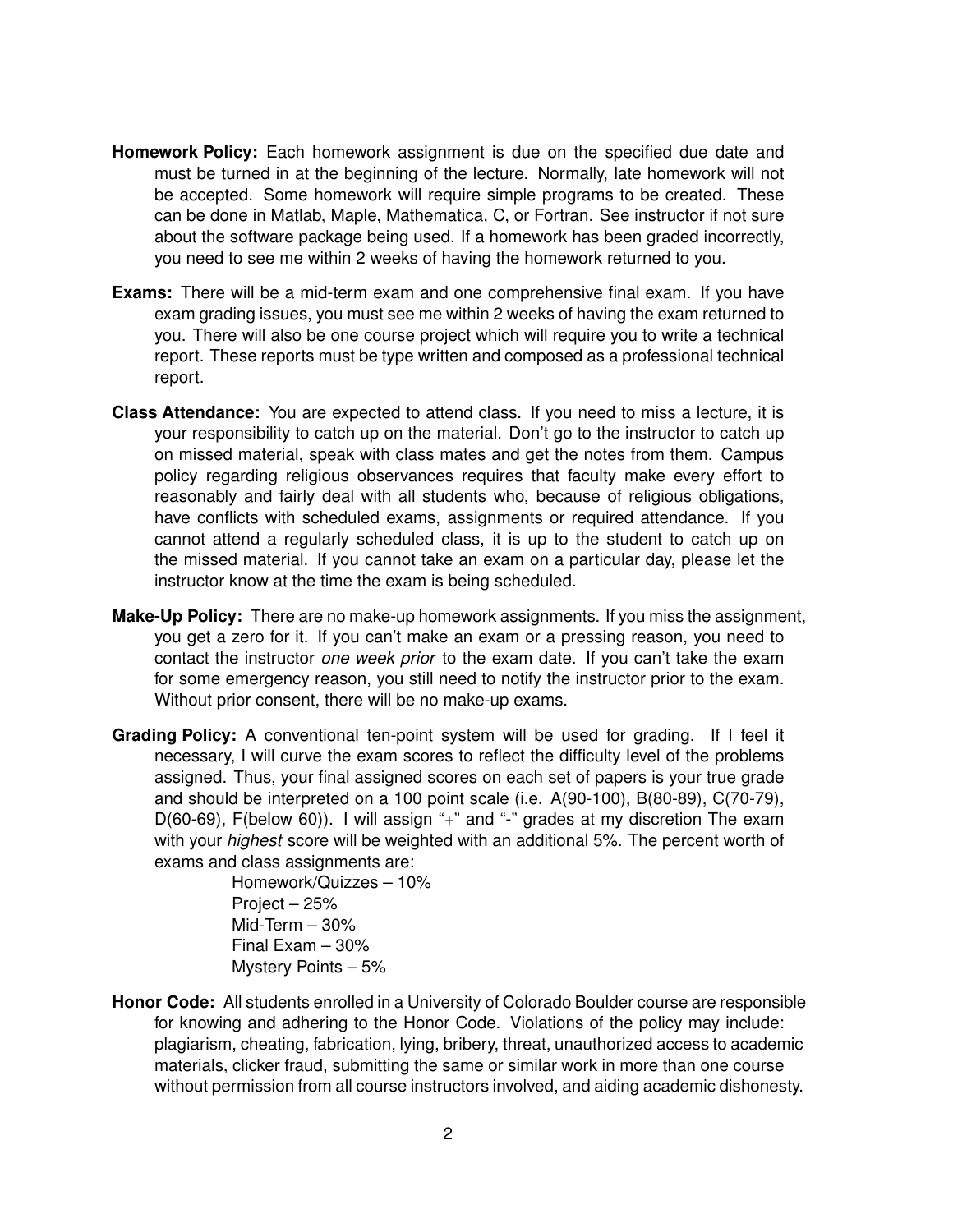- **Homework Policy:** Each homework assignment is due on the specified due date and must be turned in at the beginning of the lecture. Normally, late homework will not be accepted. Some homework will require simple programs to be created. These can be done in Matlab, Maple, Mathematica, C, or Fortran. See instructor if not sure about the software package being used. If a homework has been graded incorrectly, you need to see me within 2 weeks of having the homework returned to you.
- **Exams:** There will be a mid-term exam and one comprehensive final exam. If you have exam grading issues, you must see me within 2 weeks of having the exam returned to you. There will also be one course project which will require you to write a technical report. These reports must be type written and composed as a professional technical report.
- **Class Attendance:** You are expected to attend class. If you need to miss a lecture, it is your responsibility to catch up on the material. Don't go to the instructor to catch up on missed material, speak with class mates and get the notes from them. Campus policy regarding religious observances requires that faculty make every effort to reasonably and fairly deal with all students who, because of religious obligations, have conflicts with scheduled exams, assignments or required attendance. If you cannot attend a regularly scheduled class, it is up to the student to catch up on the missed material. If you cannot take an exam on a particular day, please let the instructor know at the time the exam is being scheduled.
- **Make-Up Policy:** There are no make-up homework assignments. If you miss the assignment, you get a zero for it. If you can't make an exam or a pressing reason, you need to contact the instructor *one week prior* to the exam date. If you can't take the exam for some emergency reason, you still need to notify the instructor prior to the exam. Without prior consent, there will be no make-up exams.
- **Grading Policy:** A conventional ten-point system will be used for grading. If I feel it necessary, I will curve the exam scores to reflect the difficulty level of the problems assigned. Thus, your final assigned scores on each set of papers is your true grade and should be interpreted on a 100 point scale (i.e. A(90-100), B(80-89), C(70-79), D(60-69), F(below 60)). I will assign "+" and "-" grades at my discretion The exam with your *highest* score will be weighted with an additional 5%. The percent worth of exams and class assignments are:

Homework/Quizzes – 10% Project – 25% Mid-Term – 30% Final Exam – 30% Mystery Points – 5%

**Honor Code:** All students enrolled in a University of Colorado Boulder course are responsible for knowing and adhering to the Honor Code. Violations of the policy may include: plagiarism, cheating, fabrication, lying, bribery, threat, unauthorized access to academic materials, clicker fraud, submitting the same or similar work in more than one course without permission from all course instructors involved, and aiding academic dishonesty.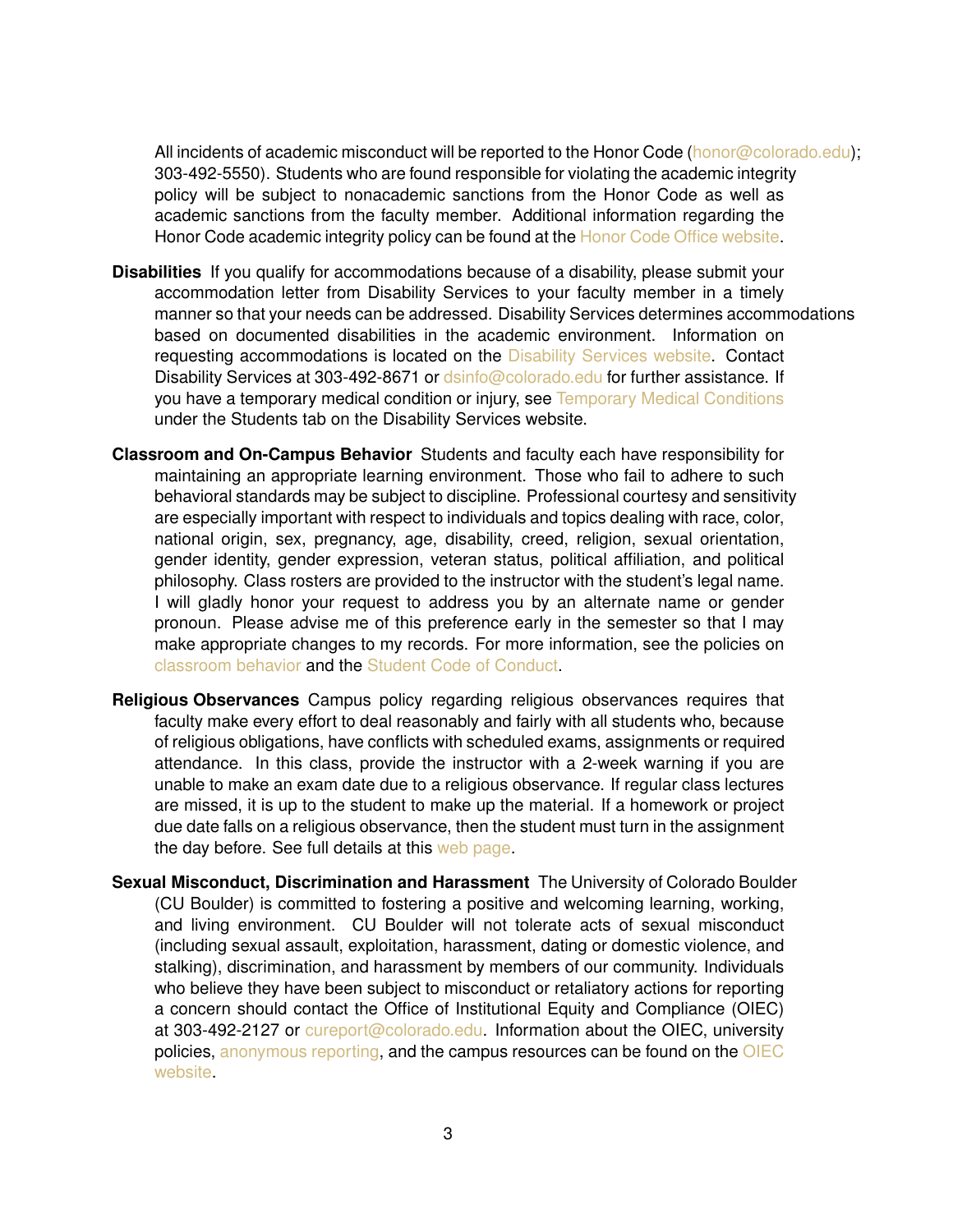All incidents of academic misconduct will be reported to the Honor Code [\(honor@colorado.edu\)](mailto:honor@colorado.edu); 303-492-5550). Students who are found responsible for violating the academic integrity policy will be subject to nonacademic sanctions from the Honor Code as well as academic sanctions from the faculty member. Additional information regarding the Honor Code academic integrity policy can be found at the [Honor Code Office website.](https://www.colorado.edu/osccr/honor-code)

- **Disabilities** If you qualify for accommodations because of a disability, please submit your accommodation letter from Disability Services to your faculty member in a timely manner so that your needs can be addressed. Disability Services determines accommodations based on documented disabilities in the academic environment. Information on requesting accommodations is located on the [Disability Services website.](https://www.colorado.edu/disabilityservices/students) Contact Disability Services at 303-492-8671 or [dsinfo@colorado.edu](mailto:dsinfo@colorado.edu) for further assistance. If you have a temporary medical condition or injury, see [Temporary Medical Conditions](http://www.colorado.edu/disabilityservices/students/temporary-medical-conditions) under the Students tab on the Disability Services website.
- **Classroom and On-Campus Behavior** Students and faculty each have responsibility for maintaining an appropriate learning environment. Those who fail to adhere to such behavioral standards may be subject to discipline. Professional courtesy and sensitivity are especially important with respect to individuals and topics dealing with race, color, national origin, sex, pregnancy, age, disability, creed, religion, sexual orientation, gender identity, gender expression, veteran status, political affiliation, and political philosophy. Class rosters are provided to the instructor with the student's legal name. I will gladly honor your request to address you by an alternate name or gender pronoun. Please advise me of this preference early in the semester so that I may make appropriate changes to my records. For more information, see the policies on [classroom behavior](http://www.colorado.edu/policies/student-classroom-and-course-related-behavior) and the [Student Code of Conduct.](http://www.colorado.edu/osccr/)
- **Religious Observances** Campus policy regarding religious observances requires that faculty make every effort to deal reasonably and fairly with all students who, because of religious obligations, have conflicts with scheduled exams, assignments or required attendance. In this class, provide the instructor with a 2-week warning if you are unable to make an exam date due to a religious observance. If regular class lectures are missed, it is up to the student to make up the material. If a homework or project due date falls on a religious observance, then the student must turn in the assignment the day before. See full details at this [web page.](http://www.colorado.edu/policies/observance-religious-holidays-and-absences-classes-andor-exams)
- **Sexual Misconduct, Discrimination and Harassment** The University of Colorado Boulder (CU Boulder) is committed to fostering a positive and welcoming learning, working, and living environment. CU Boulder will not tolerate acts of sexual misconduct (including sexual assault, exploitation, harassment, dating or domestic violence, and stalking), discrimination, and harassment by members of our community. Individuals who believe they have been subject to misconduct or retaliatory actions for reporting a concern should contact the Office of Institutional Equity and Compliance (OIEC) at 303-492-2127 or [cureport@colorado.edu.](mailto:cureport@colorado.edu) Information about the OIEC, university policies, [anonymous reporting,](https://cuboulder.qualtrics.com/jfe/form/SV_0PnqVK4kkIJIZnf) and the campus resources can be found on the [OIEC](http://www.colorado.edu/institutionalequity/) [website.](http://www.colorado.edu/institutionalequity/)